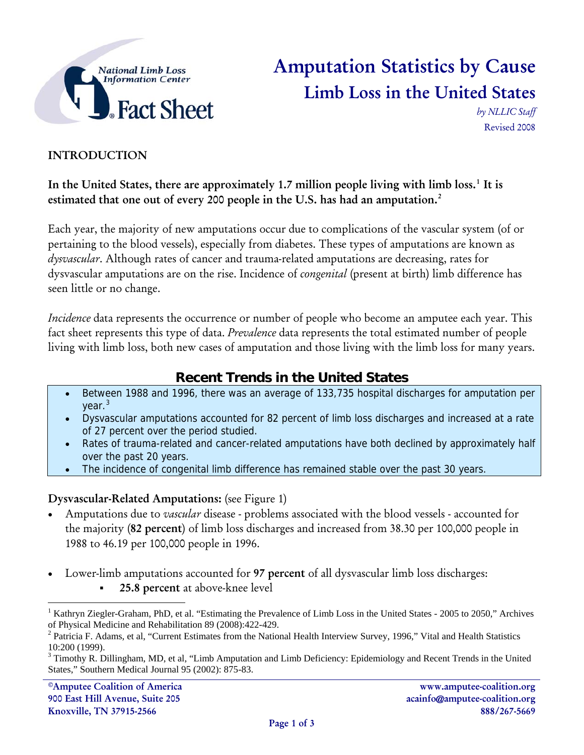

## Amputation Statistics by Cause Limb Loss in the United States

*by NLLIC Staff*  Revised 2008

### INTRODUCTION

In the United States, there are approximately [1](#page-0-0).7 million people living with limb loss.<sup>1</sup> It is estimated that one out of every [2](#page-0-1)00 people in the U.S. has had an amputation.<sup>2</sup>

Each year, the majority of new amputations occur due to complications of the vascular system (of or pertaining to the blood vessels), especially from diabetes. These types of amputations are known as *dysvascular*. Although rates of cancer and trauma-related amputations are decreasing, rates for dysvascular amputations are on the rise. Incidence of *congenital* (present at birth) limb difference has seen little or no change.

*Incidence* data represents the occurrence or number of people who become an amputee each year. This fact sheet represents this type of data. *Prevalence* data represents the total estimated number of people living with limb loss, both new cases of amputation and those living with the limb loss for many years.

### **Recent Trends in the United States**

- Between 1988 and 1996, there was an average of 133,735 hospital discharges for amputation per year.<sup>[3](#page-0-2)</sup>
- Dysvascular amputations accounted for 82 percent of limb loss discharges and increased at a rate of 27 percent over the period studied.
- Rates of trauma-related and cancer-related amputations have both declined by approximately half over the past 20 years.
- The incidence of congenital limb difference has remained stable over the past 30 years.

#### Dysvascular-Related Amputations: (see Figure 1)

- Amputations due to *vascular* disease problems associated with the blood vessels accounted for the majority (82 percent) of limb loss discharges and increased from 38.30 per 100,000 people in 1988 to 46.19 per 100,000 people in 1996.
- Lower-limb amputations accounted for 97 percent of all dysvascular limb loss discharges: 25.8 percent at above-knee level

 $\overline{a}$ 

<span id="page-0-0"></span><sup>1</sup> Kathryn Ziegler-Graham, PhD, et al. "Estimating the Prevalence of Limb Loss in the United States - 2005 to 2050," Archives of Physical Medicine and Rehabilitation 89 (2008):422-429. 2

<span id="page-0-1"></span> $^2$  Patricia F. Adams, et al, "Current Estimates from the National Health Interview Survey, 1996," Vital and Health Statistics 10:200 (1999).

<span id="page-0-2"></span> $3$  Timothy R. Dillingham, MD, et al, "Limb Amputation and Limb Deficiency: Epidemiology and Recent Trends in the United States," Southern Medical Journal 95 (2002): 875-83.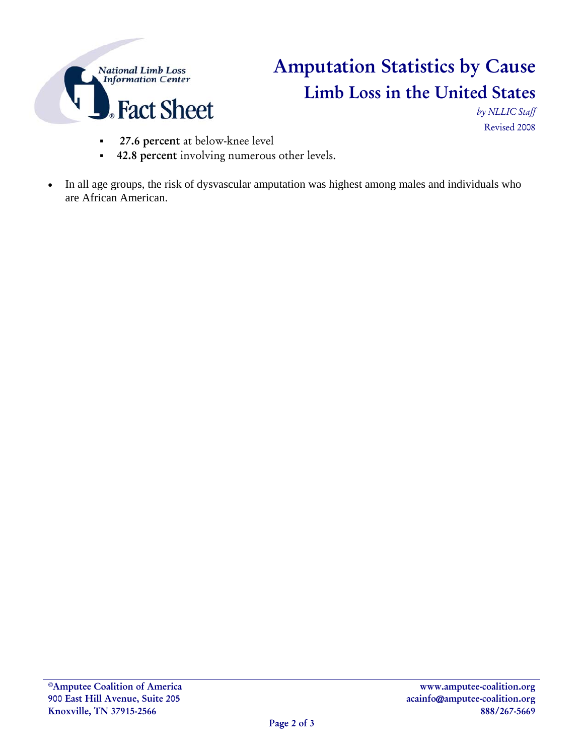

# Amputation Statistics by Cause Limb Loss in the United States

*by NLLIC Staff*  Revised 2008

- 27.6 percent at below-knee level
- 42.8 percent involving numerous other levels.
- In all age groups, the risk of dysvascular amputation was highest among males and individuals who are African American.